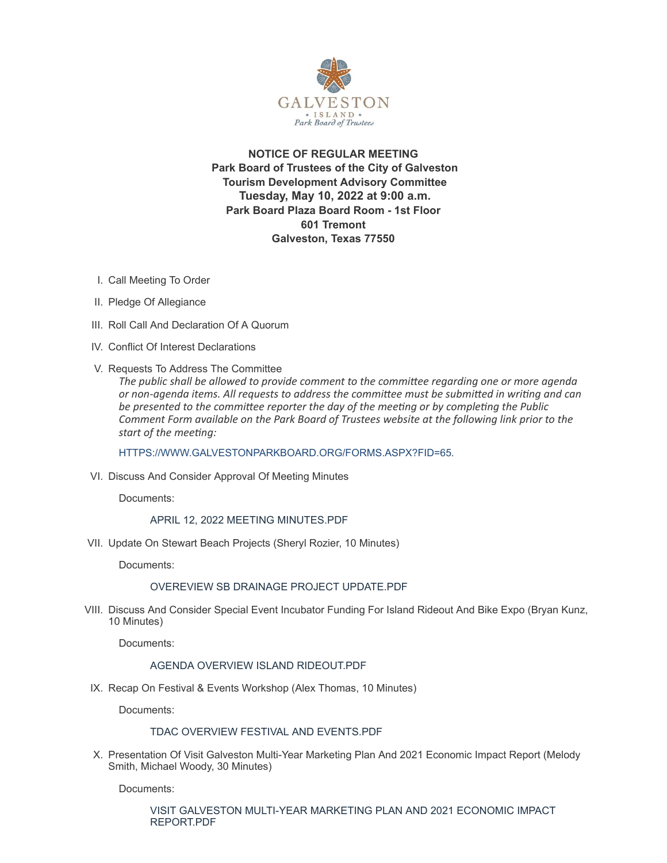

**NOTICE OF REGULAR MEETING Park Board of Trustees of the City of Galveston Tourism Development Advisory Committee Tuesday, May 10, 2022 at 9:00 a.m. Park Board Plaza Board Room - 1st Floor 601 Tremont Galveston, Texas 77550**

- I. Call Meeting To Order
- II. Pledge Of Allegiance
- III. Roll Call And Declaration Of A Quorum
- IV. Conflict Of Interest Declarations
- V. Requests To Address The Committee

*The public shall be allowed to provide comment to the committee regarding one or more agenda or non-agenda items. All requests to address the committee must be submitted in writing and can be presented to the committee reporter the day of the meeting or by completing the Public Comment Form available on the Park Board of Trustees website at the following link prior to the start of the meeting:*

[HTTPS://WWW.GALVESTONPARKBOARD.ORG/FORMS.ASPX?FID=65](https://www.galvestonparkboard.org/forms.aspx?FID=65)*.*

VI. Discuss And Consider Approval Of Meeting Minutes

Documents:

APRIL 12, 2022 MEETING [MINUTES.PDF](https://www.galvestonparkboard.org/AgendaCenter/ViewFile/Item/7689?fileID=11659)

VII. Update On Stewart Beach Projects (Sheryl Rozier, 10 Minutes)

Documents:

### OVEREVIEW SB DRAINAGE PROJECT [UPDATE.PDF](https://www.galvestonparkboard.org/AgendaCenter/ViewFile/Item/7687?fileID=11661)

VIII. Discuss And Consider Special Event Incubator Funding For Island Rideout And Bike Expo (Bryan Kunz, 10 Minutes)

Documents:

### AGENDA OVERVIEW ISLAND RIDEOUT PDF

IX. Recap On Festival & Events Workshop (Alex Thomas, 10 Minutes)

Documents:

## TDAC OVERVIEW FESTIVAL AND [EVENTS.PDF](https://www.galvestonparkboard.org/AgendaCenter/ViewFile/Item/7690?fileID=11665)

X. Presentation Of Visit Galveston Multi-Year Marketing Plan And 2021 Economic Impact Report (Melody Smith, Michael Woody, 30 Minutes)

Documents:

VISIT GALVESTON MULTI-YEAR MARKETING PLAN AND 2021 ECONOMIC IMPACT [REPORT.PDF](https://www.galvestonparkboard.org/AgendaCenter/ViewFile/Item/7668?fileID=11660)